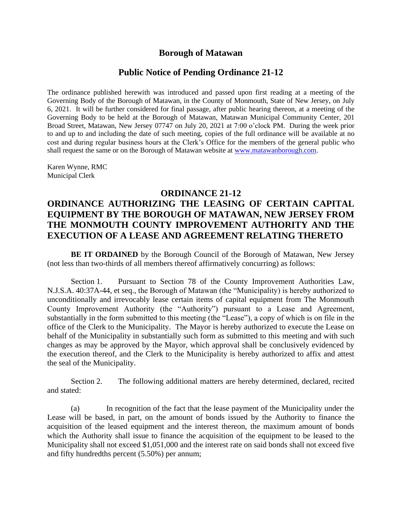### **Borough of Matawan**

#### **Public Notice of Pending Ordinance 21-12**

The ordinance published herewith was introduced and passed upon first reading at a meeting of the Governing Body of the Borough of Matawan, in the County of Monmouth, State of New Jersey, on July 6, 2021. It will be further considered for final passage, after public hearing thereon, at a meeting of the Governing Body to be held at the Borough of Matawan, Matawan Municipal Community Center, 201 Broad Street, Matawan, New Jersey 07747 on July 20, 2021 at 7:00 o'clock PM. During the week prior to and up to and including the date of such meeting, copies of the full ordinance will be available at no cost and during regular business hours at the Clerk's Office for the members of the general public who shall request the same or on the Borough of Matawan website at [www.matawanborough.com.](http://www.matawanborough.com/)

Karen Wynne, RMC Municipal Clerk

#### **ORDINANCE 21-12**

## **ORDINANCE AUTHORIZING THE LEASING OF CERTAIN CAPITAL EQUIPMENT BY THE BOROUGH OF MATAWAN, NEW JERSEY FROM THE MONMOUTH COUNTY IMPROVEMENT AUTHORITY AND THE EXECUTION OF A LEASE AND AGREEMENT RELATING THERETO**

**BE IT ORDAINED** by the Borough Council of the Borough of Matawan, New Jersey (not less than two-thirds of all members thereof affirmatively concurring) as follows:

Section 1. Pursuant to Section 78 of the County Improvement Authorities Law, N.J.S.A. 40:37A-44, et seq., the Borough of Matawan (the "Municipality) is hereby authorized to unconditionally and irrevocably lease certain items of capital equipment from The Monmouth County Improvement Authority (the "Authority") pursuant to a Lease and Agreement, substantially in the form submitted to this meeting (the "Lease"), a copy of which is on file in the office of the Clerk to the Municipality. The Mayor is hereby authorized to execute the Lease on behalf of the Municipality in substantially such form as submitted to this meeting and with such changes as may be approved by the Mayor, which approval shall be conclusively evidenced by the execution thereof, and the Clerk to the Municipality is hereby authorized to affix and attest the seal of the Municipality.

Section 2. The following additional matters are hereby determined, declared, recited and stated:

(a) In recognition of the fact that the lease payment of the Municipality under the Lease will be based, in part, on the amount of bonds issued by the Authority to finance the acquisition of the leased equipment and the interest thereon, the maximum amount of bonds which the Authority shall issue to finance the acquisition of the equipment to be leased to the Municipality shall not exceed \$1,051,000 and the interest rate on said bonds shall not exceed five and fifty hundredths percent (5.50%) per annum;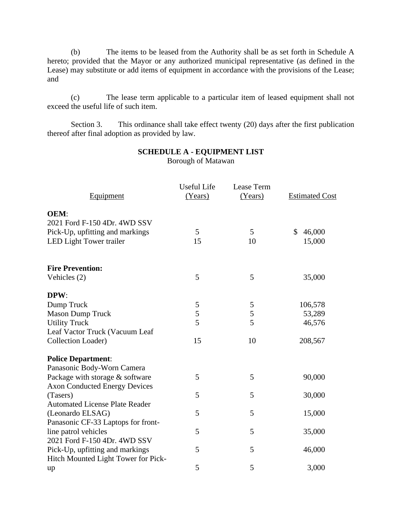(b) The items to be leased from the Authority shall be as set forth in Schedule A hereto; provided that the Mayor or any authorized municipal representative (as defined in the Lease) may substitute or add items of equipment in accordance with the provisions of the Lease; and

(c) The lease term applicable to a particular item of leased equipment shall not exceed the useful life of such item.

Section 3. This ordinance shall take effect twenty (20) days after the first publication thereof after final adoption as provided by law.

| <b>Equipment</b>                      | <b>Useful Life</b><br>(Years) | Lease Term<br>(Years) | <b>Estimated Cost</b> |
|---------------------------------------|-------------------------------|-----------------------|-----------------------|
| OEM:                                  |                               |                       |                       |
| 2021 Ford F-150 4Dr. 4WD SSV          |                               |                       |                       |
| Pick-Up, upfitting and markings       | 5                             | 5                     | \$<br>46,000          |
| LED Light Tower trailer               | 15                            | 10                    | 15,000                |
| <b>Fire Prevention:</b>               |                               |                       |                       |
| Vehicles (2)                          | 5                             | 5                     | 35,000                |
| DPW:                                  |                               |                       |                       |
| Dump Truck                            | 5                             | 5                     | 106,578               |
| <b>Mason Dump Truck</b>               | 5                             | 5                     | 53,289                |
| <b>Utility Truck</b>                  | 5                             | 5                     | 46,576                |
| Leaf Vactor Truck (Vacuum Leaf        |                               |                       |                       |
| Collection Loader)                    | 15                            | 10                    | 208,567               |
| <b>Police Department:</b>             |                               |                       |                       |
| Panasonic Body-Worn Camera            |                               |                       |                       |
| Package with storage & software       | 5                             | 5                     | 90,000                |
| <b>Axon Conducted Energy Devices</b>  |                               |                       |                       |
| (Tasers)                              | 5                             | 5                     | 30,000                |
| <b>Automated License Plate Reader</b> |                               |                       |                       |
| (Leonardo ELSAG)                      | 5                             | 5                     | 15,000                |
| Panasonic CF-33 Laptops for front-    |                               |                       |                       |
| line patrol vehicles                  | 5                             | 5                     | 35,000                |
| 2021 Ford F-150 4Dr. 4WD SSV          |                               |                       |                       |
| Pick-Up, upfitting and markings       | 5                             | 5                     | 46,000                |
| Hitch Mounted Light Tower for Pick-   |                               |                       |                       |
| up                                    | 5                             | 5                     | 3,000                 |

# **SCHEDULE A - EQUIPMENT LIST**

Borough of Matawan